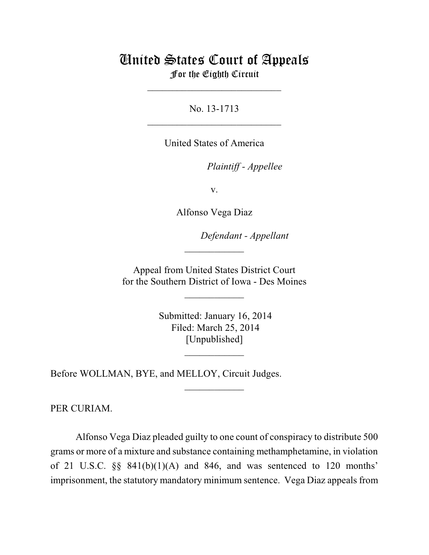## United States Court of Appeals For the Eighth Circuit

\_\_\_\_\_\_\_\_\_\_\_\_\_\_\_\_\_\_\_\_\_\_\_\_\_\_\_

No. 13-1713  $\mathcal{L}_\text{max}$  , which is a set of the set of the set of the set of the set of the set of the set of the set of the set of the set of the set of the set of the set of the set of the set of the set of the set of the set of

United States of America

Plaintiff - Appellee

v.

Alfonso Vega Diaz

lllllllllllllllllllll *Defendant - Appellant*

 Appeal from United States District Court for the Southern District of Iowa - Des Moines

 $\overline{\phantom{a}}$  , where  $\overline{\phantom{a}}$ 

 $\frac{1}{2}$ 

 Submitted: January 16, 2014 Filed: March 25, 2014 [Unpublished]

 $\frac{1}{2}$ 

 $\frac{1}{2}$ 

Before WOLLMAN, BYE, and MELLOY, Circuit Judges.

PER CURIAM.

Alfonso Vega Diaz pleaded guilty to one count of conspiracy to distribute 500 grams or more of a mixture and substance containing methamphetamine, in violation of 21 U.S.C.  $\S$  841(b)(1)(A) and 846, and was sentenced to 120 months' imprisonment, the statutory mandatory minimum sentence. Vega Diaz appeals from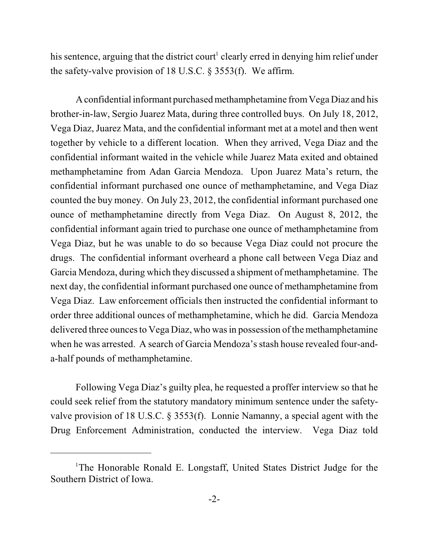his sentence, arguing that the district court<sup>1</sup> clearly erred in denying him relief under the safety-valve provision of 18 U.S.C. § 3553(f). We affirm.

Aconfidential informant purchasedmethamphetamine fromVega Diaz and his brother-in-law, Sergio Juarez Mata, during three controlled buys. On July 18, 2012, Vega Diaz, Juarez Mata, and the confidential informant met at a motel and then went together by vehicle to a different location. When they arrived, Vega Diaz and the confidential informant waited in the vehicle while Juarez Mata exited and obtained methamphetamine from Adan Garcia Mendoza. Upon Juarez Mata's return, the confidential informant purchased one ounce of methamphetamine, and Vega Diaz counted the buy money. On July 23, 2012, the confidential informant purchased one ounce of methamphetamine directly from Vega Diaz. On August 8, 2012, the confidential informant again tried to purchase one ounce of methamphetamine from Vega Diaz, but he was unable to do so because Vega Diaz could not procure the drugs. The confidential informant overheard a phone call between Vega Diaz and Garcia Mendoza, during which they discussed a shipment of methamphetamine. The next day, the confidential informant purchased one ounce of methamphetamine from Vega Diaz. Law enforcement officials then instructed the confidential informant to order three additional ounces of methamphetamine, which he did. Garcia Mendoza delivered three ounces to Vega Diaz, who was in possession of the methamphetamine when he was arrested. A search of Garcia Mendoza's stash house revealed four-anda-half pounds of methamphetamine.

Following Vega Diaz's guilty plea, he requested a proffer interview so that he could seek relief from the statutory mandatory minimum sentence under the safetyvalve provision of 18 U.S.C. § 3553(f). Lonnie Namanny, a special agent with the Drug Enforcement Administration, conducted the interview. Vega Diaz told

<sup>&</sup>lt;sup>1</sup>The Honorable Ronald E. Longstaff, United States District Judge for the Southern District of Iowa.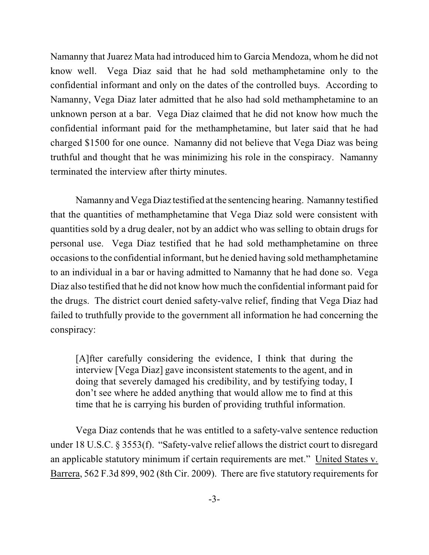Namanny that Juarez Mata had introduced him to Garcia Mendoza, whom he did not know well. Vega Diaz said that he had sold methamphetamine only to the confidential informant and only on the dates of the controlled buys. According to Namanny, Vega Diaz later admitted that he also had sold methamphetamine to an unknown person at a bar. Vega Diaz claimed that he did not know how much the confidential informant paid for the methamphetamine, but later said that he had charged \$1500 for one ounce. Namanny did not believe that Vega Diaz was being truthful and thought that he was minimizing his role in the conspiracy. Namanny terminated the interview after thirty minutes.

Namanny and Vega Diaz testified at the sentencing hearing. Namanny testified that the quantities of methamphetamine that Vega Diaz sold were consistent with quantities sold by a drug dealer, not by an addict who was selling to obtain drugs for personal use. Vega Diaz testified that he had sold methamphetamine on three occasions to the confidential informant, but he denied having sold methamphetamine to an individual in a bar or having admitted to Namanny that he had done so. Vega Diaz also testified that he did not know how much the confidential informant paid for the drugs. The district court denied safety-valve relief, finding that Vega Diaz had failed to truthfully provide to the government all information he had concerning the conspiracy:

[A]fter carefully considering the evidence, I think that during the interview [Vega Diaz] gave inconsistent statements to the agent, and in doing that severely damaged his credibility, and by testifying today, I don't see where he added anything that would allow me to find at this time that he is carrying his burden of providing truthful information.

Vega Diaz contends that he was entitled to a safety-valve sentence reduction under 18 U.S.C. § 3553(f). "Safety-valve relief allows the district court to disregard an applicable statutory minimum if certain requirements are met." United States v. Barrera, 562 F.3d 899, 902 (8th Cir. 2009). There are five statutory requirements for